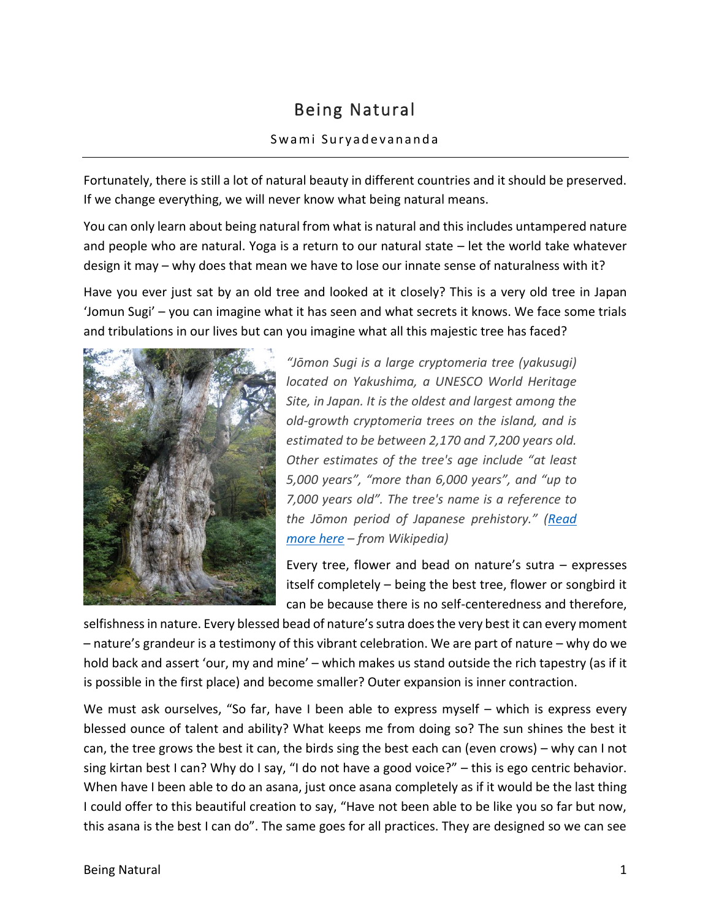## Being Natural

## Swami Suryadevananda

Fortunately, there is still a lot of natural beauty in different countries and it should be preserved. If we change everything, we will never know what being natural means.

You can only learn about being natural from what is natural and this includes untampered nature and people who are natural. Yoga is a return to our natural state – let the world take whatever design it may – why does that mean we have to lose our innate sense of naturalness with it?

Have you ever just sat by an old tree and looked at it closely? This is a very old tree in Japan 'Jomun Sugi' – you can imagine what it has seen and what secrets it knows. We face some trials and tribulations in our lives but can you imagine what all this majestic tree has faced?



*"Jōmon Sugi is a large cryptomeria tree (yakusugi) located on Yakushima, a UNESCO World Heritage Site, in Japan. It is the oldest and largest among the old-growth cryptomeria trees on the island, and is estimated to be between 2,170 and 7,200 years old. Other estimates of the tree's age include "at least 5,000 years", "more than 6,000 years", and "up to 7,000 years old". The tree's name is a reference to the Jōmon period of Japanese prehistory." ([Read](http://en.wikipedia.org/wiki/J%C5%8Dmon_Sugi)  [more here](http://en.wikipedia.org/wiki/J%C5%8Dmon_Sugi) – from Wikipedia)*

Every tree, flower and bead on nature's sutra – expresses itself completely – being the best tree, flower or songbird it can be because there is no self-centeredness and therefore,

selfishness in nature. Every blessed bead of nature's sutra does the very best it can every moment – nature's grandeur is a testimony of this vibrant celebration. We are part of nature – why do we hold back and assert 'our, my and mine' – which makes us stand outside the rich tapestry (as if it is possible in the first place) and become smaller? Outer expansion is inner contraction.

We must ask ourselves, "So far, have I been able to express myself – which is express every blessed ounce of talent and ability? What keeps me from doing so? The sun shines the best it can, the tree grows the best it can, the birds sing the best each can (even crows) – why can I not sing kirtan best I can? Why do I say, "I do not have a good voice?" – this is ego centric behavior. When have I been able to do an asana, just once asana completely as if it would be the last thing I could offer to this beautiful creation to say, "Have not been able to be like you so far but now, this asana is the best I can do". The same goes for all practices. They are designed so we can see